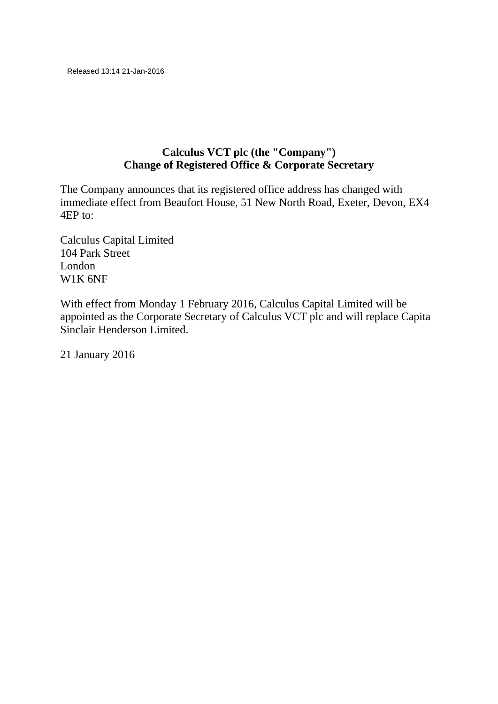## **Calculus VCT plc (the "Company") Change of Registered Office & Corporate Secretary**

The Company announces that its registered office address has changed with immediate effect from Beaufort House, 51 New North Road, Exeter, Devon, EX4 4EP to:

Calculus Capital Limited 104 Park Street London W1K 6NF

With effect from Monday 1 February 2016, Calculus Capital Limited will be appointed as the Corporate Secretary of Calculus VCT plc and will replace Capita Sinclair Henderson Limited.

21 January 2016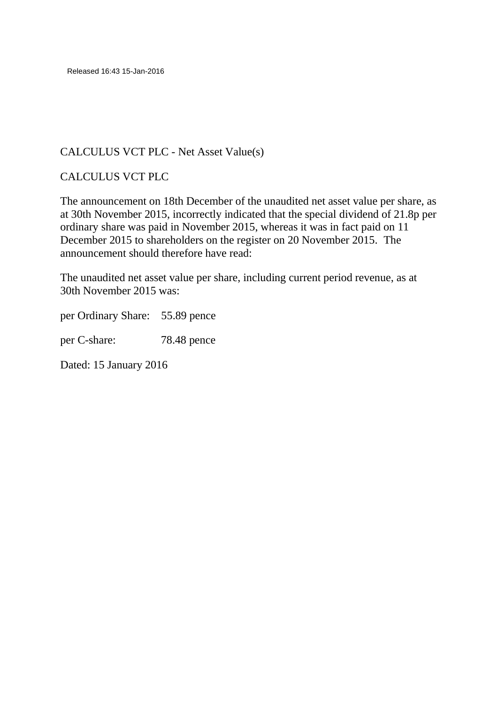Released 16:43 15-Jan-2016

#### CALCULUS VCT PLC - Net Asset Value(s)

#### CALCULUS VCT PLC

The announcement on 18th December of the unaudited net asset value per share, as at 30th November 2015, incorrectly indicated that the special dividend of 21.8p per ordinary share was paid in November 2015, whereas it was in fact paid on 11 December 2015 to shareholders on the register on 20 November 2015. The announcement should therefore have read:

The unaudited net asset value per share, including current period revenue, as at 30th November 2015 was:

per Ordinary Share: 55.89 pence

per C-share: 78.48 pence

Dated: 15 January 2016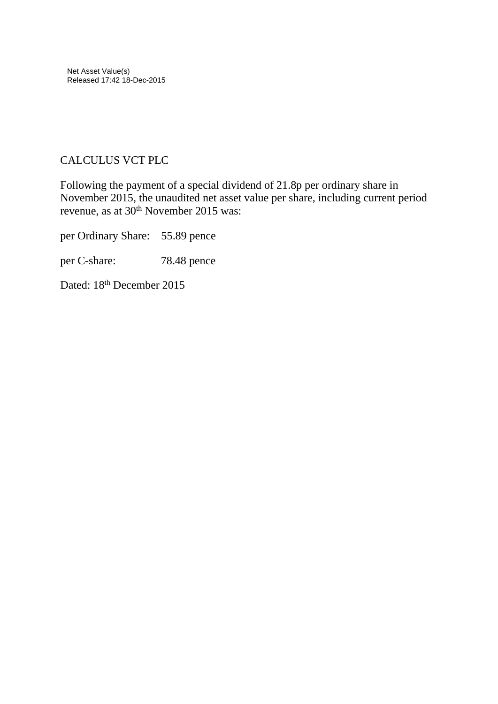## CALCULUS VCT PLC

Following the payment of a special dividend of 21.8p per ordinary share in November 2015, the unaudited net asset value per share, including current period revenue, as at 30<sup>th</sup> November 2015 was:

per Ordinary Share: 55.89 pence

per C-share: 78.48 pence

Dated: 18<sup>th</sup> December 2015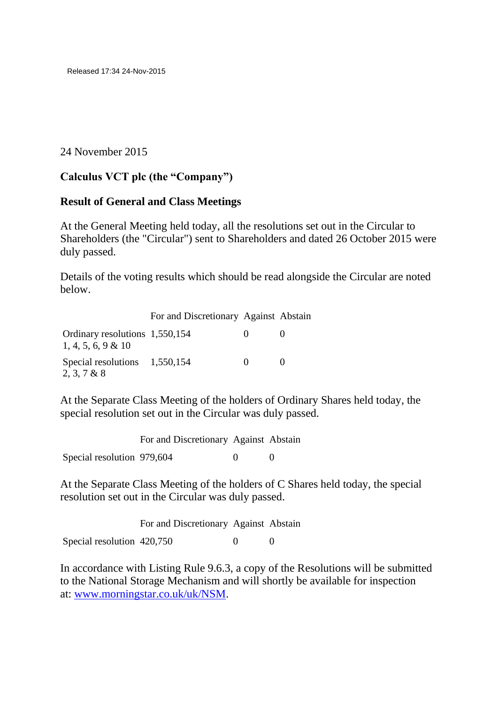24 November 2015

## **Calculus VCT plc (the "Company")**

#### **Result of General and Class Meetings**

At the General Meeting held today, all the resolutions set out in the Circular to Shareholders (the "Circular") sent to Shareholders and dated 26 October 2015 were duly passed.

Details of the voting results which should be read alongside the Circular are noted below.

| For and Discretionary Against Abstain |  |  |
|---------------------------------------|--|--|
|---------------------------------------|--|--|

| Ordinary resolutions 1,550,154<br>$1, 4, 5, 6, 9 \& 10$ | $\mathbf{0}$ |  |
|---------------------------------------------------------|--------------|--|
| Special resolutions $1,550,154$<br>2, 3, 7 & 8          | $\mathbf{O}$ |  |

At the Separate Class Meeting of the holders of Ordinary Shares held today, the special resolution set out in the Circular was duly passed.

|                            | For and Discretionary Against Abstain |  |
|----------------------------|---------------------------------------|--|
| Special resolution 979,604 |                                       |  |

At the Separate Class Meeting of the holders of C Shares held today, the special resolution set out in the Circular was duly passed.

|                            | For and Discretionary Against Abstain |  |
|----------------------------|---------------------------------------|--|
| Special resolution 420,750 |                                       |  |

In accordance with Listing Rule 9.6.3, a copy of the Resolutions will be submitted to the National Storage Mechanism and will shortly be available for inspection at: [www.morningstar.co.uk/uk/NSM.](http://www.morningstar.co.uk/uk/NSM)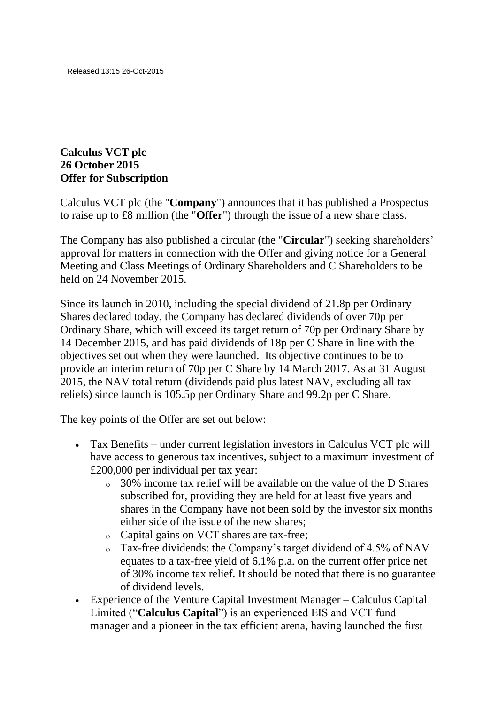## **Calculus VCT plc 26 October 2015 Offer for Subscription**

Calculus VCT plc (the "**Company**") announces that it has published a Prospectus to raise up to £8 million (the "**Offer**") through the issue of a new share class.

The Company has also published a circular (the "**Circular**") seeking shareholders' approval for matters in connection with the Offer and giving notice for a General Meeting and Class Meetings of Ordinary Shareholders and C Shareholders to be held on 24 November 2015.

Since its launch in 2010, including the special dividend of 21.8p per Ordinary Shares declared today, the Company has declared dividends of over 70p per Ordinary Share, which will exceed its target return of 70p per Ordinary Share by 14 December 2015, and has paid dividends of 18p per C Share in line with the objectives set out when they were launched. Its objective continues to be to provide an interim return of 70p per C Share by 14 March 2017. As at 31 August 2015, the NAV total return (dividends paid plus latest NAV, excluding all tax reliefs) since launch is 105.5p per Ordinary Share and 99.2p per C Share.

The key points of the Offer are set out below:

- Tax Benefits under current legislation investors in Calculus VCT plc will have access to generous tax incentives, subject to a maximum investment of £200,000 per individual per tax year:
	- o 30% income tax relief will be available on the value of the D Shares subscribed for, providing they are held for at least five years and shares in the Company have not been sold by the investor six months either side of the issue of the new shares;
	- o Capital gains on VCT shares are tax-free;
	- o Tax-free dividends: the Company's target dividend of 4.5% of NAV equates to a tax-free yield of 6.1% p.a. on the current offer price net of 30% income tax relief. It should be noted that there is no guarantee of dividend levels.
- Experience of the Venture Capital Investment Manager Calculus Capital Limited ("**Calculus Capital**") is an experienced EIS and VCT fund manager and a pioneer in the tax efficient arena, having launched the first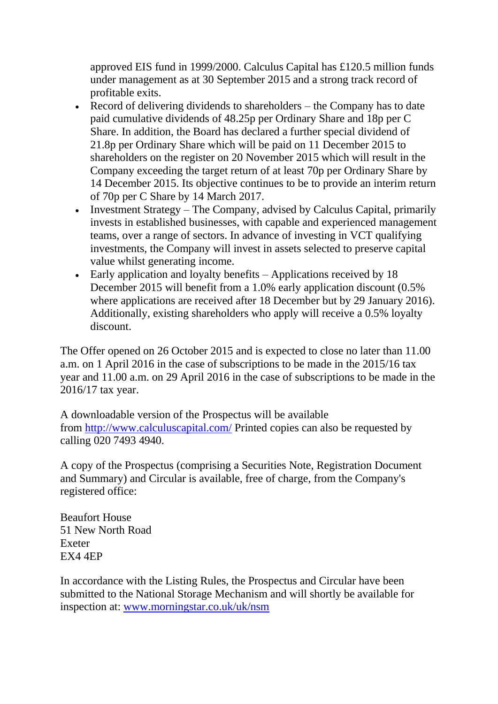approved EIS fund in 1999/2000. Calculus Capital has £120.5 million funds under management as at 30 September 2015 and a strong track record of profitable exits.

- Record of delivering dividends to shareholders the Company has to date paid cumulative dividends of 48.25p per Ordinary Share and 18p per C Share. In addition, the Board has declared a further special dividend of 21.8p per Ordinary Share which will be paid on 11 December 2015 to shareholders on the register on 20 November 2015 which will result in the Company exceeding the target return of at least 70p per Ordinary Share by 14 December 2015. Its objective continues to be to provide an interim return of 70p per C Share by 14 March 2017.
- Investment Strategy The Company, advised by Calculus Capital, primarily invests in established businesses, with capable and experienced management teams, over a range of sectors. In advance of investing in VCT qualifying investments, the Company will invest in assets selected to preserve capital value whilst generating income.
- Early application and loyalty benefits Applications received by 18 December 2015 will benefit from a 1.0% early application discount (0.5% where applications are received after 18 December but by 29 January 2016). Additionally, existing shareholders who apply will receive a 0.5% loyalty discount.

The Offer opened on 26 October 2015 and is expected to close no later than 11.00 a.m. on 1 April 2016 in the case of subscriptions to be made in the 2015/16 tax year and 11.00 a.m. on 29 April 2016 in the case of subscriptions to be made in the 2016/17 tax year.

A downloadable version of the Prospectus will be available from <http://www.calculuscapital.com/> Printed copies can also be requested by calling 020 7493 4940.

A copy of the Prospectus (comprising a Securities Note, Registration Document and Summary) and Circular is available, free of charge, from the Company's registered office:

Beaufort House 51 New North Road Exeter EX4 4EP

In accordance with the Listing Rules, the Prospectus and Circular have been submitted to the National Storage Mechanism and will shortly be available for inspection at: [www.morningstar.co.uk/uk/nsm](http://www.morningstar.co.uk/uk/nsm)